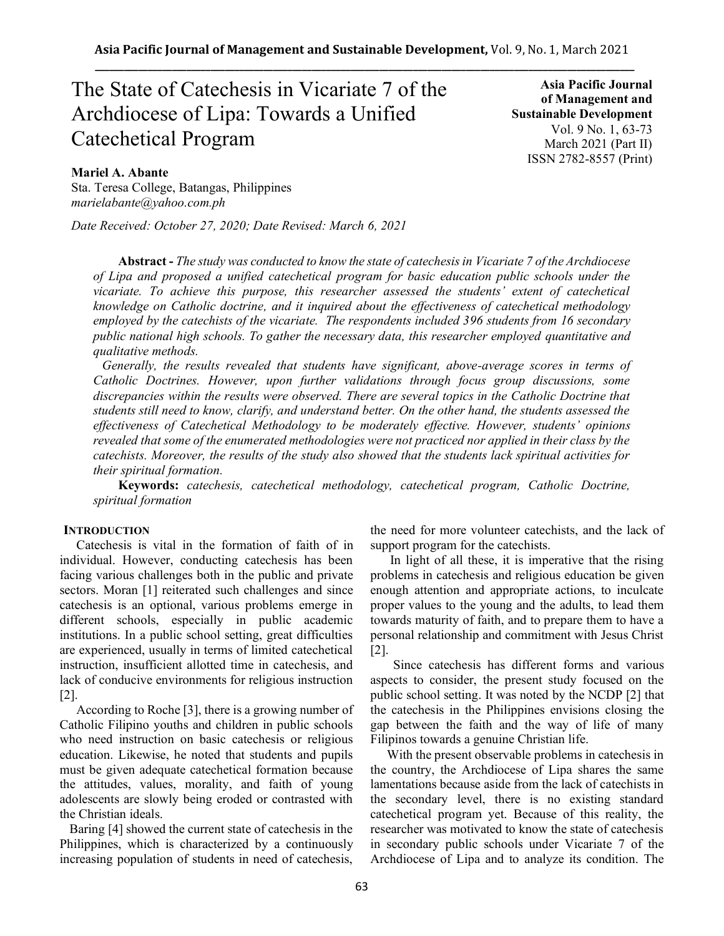# The State of Catechesis in Vicariate 7 of the Archdiocese of Lipa: Towards a Unified Catechetical Program

**Asia Pacific Journal of Management and Sustainable Development**  Vol. 9 No. 1, 63-73 March 2021 (Part II) ISSN 2782-8557 (Print)

# **Mariel A. Abante**

Sta. Teresa College, Batangas, Philippines *marielabante@yahoo.com.ph*

*Date Received: October 27, 2020; Date Revised: March 6, 2021*

**Abstract -** *The study was conducted to know the state of catechesis in Vicariate 7 of the Archdiocese of Lipa and proposed a unified catechetical program for basic education public schools under the vicariate. To achieve this purpose, this researcher assessed the students' extent of catechetical knowledge on Catholic doctrine, and it inquired about the effectiveness of catechetical methodology employed by the catechists of the vicariate. The respondents included 396 students from 16 secondary public national high schools. To gather the necessary data, this researcher employed quantitative and qualitative methods.* 

*Generally, the results revealed that students have significant, above-average scores in terms of Catholic Doctrines. However, upon further validations through focus group discussions, some discrepancies within the results were observed. There are several topics in the Catholic Doctrine that students still need to know, clarify, and understand better. On the other hand, the students assessed the effectiveness of Catechetical Methodology to be moderately effective. However, students' opinions revealed that some of the enumerated methodologies were not practiced nor applied in their class by the catechists. Moreover, the results of the study also showed that the students lack spiritual activities for their spiritual formation.* 

**Keywords:** *catechesis, catechetical methodology, catechetical program, Catholic Doctrine, spiritual formation*

#### **INTRODUCTION**

Catechesis is vital in the formation of faith of in individual. However, conducting catechesis has been facing various challenges both in the public and private sectors. Moran [1] reiterated such challenges and since catechesis is an optional, various problems emerge in different schools, especially in public academic institutions. In a public school setting, great difficulties are experienced, usually in terms of limited catechetical instruction, insufficient allotted time in catechesis, and lack of conducive environments for religious instruction [2].

According to Roche [3], there is a growing number of Catholic Filipino youths and children in public schools who need instruction on basic catechesis or religious education. Likewise, he noted that students and pupils must be given adequate catechetical formation because the attitudes, values, morality, and faith of young adolescents are slowly being eroded or contrasted with the Christian ideals.

 Baring [4] showed the current state of catechesis in the Philippines, which is characterized by a continuously increasing population of students in need of catechesis, the need for more volunteer catechists, and the lack of support program for the catechists.

 In light of all these, it is imperative that the rising problems in catechesis and religious education be given enough attention and appropriate actions, to inculcate proper values to the young and the adults, to lead them towards maturity of faith, and to prepare them to have a personal relationship and commitment with Jesus Christ [2].

 Since catechesis has different forms and various aspects to consider, the present study focused on the public school setting. It was noted by the NCDP [2] that the catechesis in the Philippines envisions closing the gap between the faith and the way of life of many Filipinos towards a genuine Christian life.

 With the present observable problems in catechesis in the country, the Archdiocese of Lipa shares the same lamentations because aside from the lack of catechists in the secondary level, there is no existing standard catechetical program yet. Because of this reality, the researcher was motivated to know the state of catechesis in secondary public schools under Vicariate 7 of the Archdiocese of Lipa and to analyze its condition. The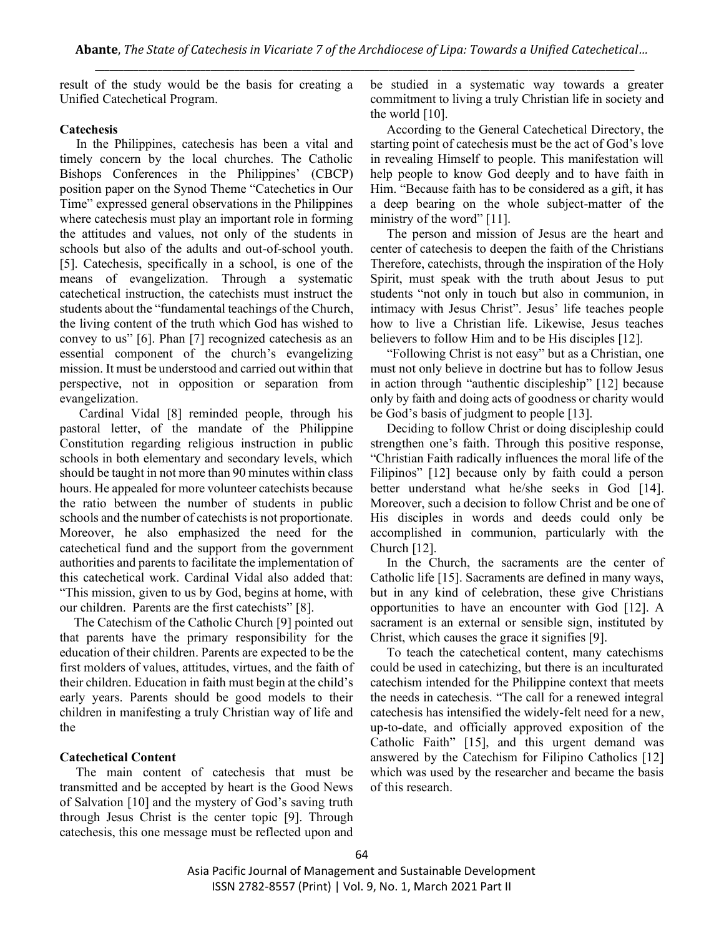result of the study would be the basis for creating a Unified Catechetical Program.

### **Catechesis**

 In the Philippines, catechesis has been a vital and timely concern by the local churches. The Catholic Bishops Conferences in the Philippines' (CBCP) position paper on the Synod Theme "Catechetics in Our Time" expressed general observations in the Philippines where catechesis must play an important role in forming the attitudes and values, not only of the students in schools but also of the adults and out-of-school youth. [5]. Catechesis, specifically in a school, is one of the means of evangelization. Through a systematic catechetical instruction, the catechists must instruct the students about the "fundamental teachings of the Church, the living content of the truth which God has wished to convey to us" [6]. Phan [7] recognized catechesis as an essential component of the church's evangelizing mission. It must be understood and carried out within that perspective, not in opposition or separation from evangelization.

 Cardinal Vidal [8] reminded people, through his pastoral letter, of the mandate of the Philippine Constitution regarding religious instruction in public schools in both elementary and secondary levels, which should be taught in not more than 90 minutes within class hours. He appealed for more volunteer catechists because the ratio between the number of students in public schools and the number of catechists is not proportionate. Moreover, he also emphasized the need for the catechetical fund and the support from the government authorities and parents to facilitate the implementation of this catechetical work. Cardinal Vidal also added that: "This mission, given to us by God, begins at home, with our children. Parents are the first catechists" [8].

 The Catechism of the Catholic Church [9] pointed out that parents have the primary responsibility for the education of their children. Parents are expected to be the first molders of values, attitudes, virtues, and the faith of their children. Education in faith must begin at the child's early years. Parents should be good models to their children in manifesting a truly Christian way of life and the

### **Catechetical Content**

 The main content of catechesis that must be transmitted and be accepted by heart is the Good News of Salvation [10] and the mystery of God's saving truth through Jesus Christ is the center topic [9]. Through catechesis, this one message must be reflected upon and be studied in a systematic way towards a greater commitment to living a truly Christian life in society and the world [10].

 According to the General Catechetical Directory, the starting point of catechesis must be the act of God's love in revealing Himself to people. This manifestation will help people to know God deeply and to have faith in Him. "Because faith has to be considered as a gift, it has a deep bearing on the whole subject-matter of the ministry of the word" [11].

 The person and mission of Jesus are the heart and center of catechesis to deepen the faith of the Christians Therefore, catechists, through the inspiration of the Holy Spirit, must speak with the truth about Jesus to put students "not only in touch but also in communion, in intimacy with Jesus Christ". Jesus' life teaches people how to live a Christian life. Likewise, Jesus teaches believers to follow Him and to be His disciples [12].

 "Following Christ is not easy" but as a Christian, one must not only believe in doctrine but has to follow Jesus in action through "authentic discipleship" [12] because only by faith and doing acts of goodness or charity would be God's basis of judgment to people [13].

 Deciding to follow Christ or doing discipleship could strengthen one's faith. Through this positive response, "Christian Faith radically influences the moral life of the Filipinos" [12] because only by faith could a person better understand what he/she seeks in God [14]. Moreover, such a decision to follow Christ and be one of His disciples in words and deeds could only be accomplished in communion, particularly with the Church [12].

 In the Church, the sacraments are the center of Catholic life [15]. Sacraments are defined in many ways, but in any kind of celebration, these give Christians opportunities to have an encounter with God [12]. A sacrament is an external or sensible sign, instituted by Christ, which causes the grace it signifies [9].

 To teach the catechetical content, many catechisms could be used in catechizing, but there is an inculturated catechism intended for the Philippine context that meets the needs in catechesis. "The call for a renewed integral catechesis has intensified the widely-felt need for a new, up-to-date, and officially approved exposition of the Catholic Faith" [15], and this urgent demand was answered by the Catechism for Filipino Catholics [12] which was used by the researcher and became the basis of this research.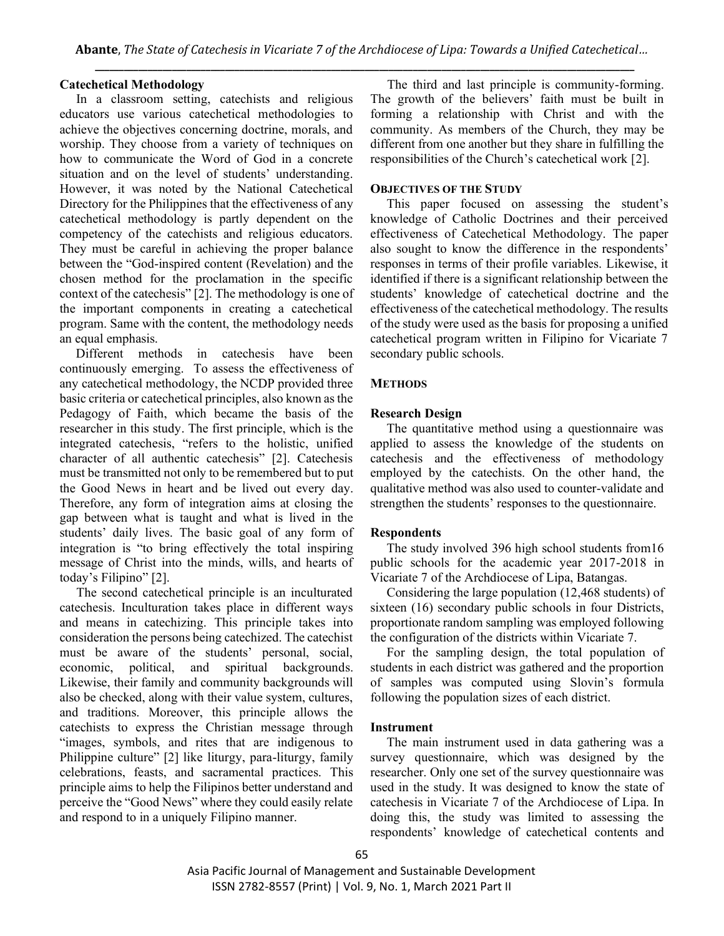## **Catechetical Methodology**

In a classroom setting, catechists and religious educators use various catechetical methodologies to achieve the objectives concerning doctrine, morals, and worship. They choose from a variety of techniques on how to communicate the Word of God in a concrete situation and on the level of students' understanding. However, it was noted by the National Catechetical Directory for the Philippines that the effectiveness of any catechetical methodology is partly dependent on the competency of the catechists and religious educators. They must be careful in achieving the proper balance between the "God-inspired content (Revelation) and the chosen method for the proclamation in the specific context of the catechesis" [2]. The methodology is one of the important components in creating a catechetical program. Same with the content, the methodology needs an equal emphasis.

Different methods in cate chesis have been continuously emerging. To assess the effectiveness of any catechetical methodology, the NCDP provided three basic criteria or catechetical principles, also known as the Pedagogy of Faith, which became the basis of the researcher in this study. The first principle, which is the integrated catechesis, "refers to the holistic, unified character of all authentic catechesis" [2]. Catechesis must be transmitted not only to be remembered but to put the Good News in heart and be lived out every day. Therefore, any form of integration aims at closing the gap between what is taught and what is lived in the students' daily lives. The basic goal of any form of integration is "to bring effectively the total inspiring message of Christ into the minds, wills, and hearts of today's Filipino" [2].

The second catechetical principle is an inculturated catechesis. Inculturation takes place in different ways and means in catechizing. This principle takes into consideration the persons being catechized. The catechist must be aware of the students' personal, social, economic, political, and spiritual backgrounds. Likewise, their family and community backgrounds will also be checked, along with their value system, cultures, and traditions. Moreover, this principle allows the catechists to express the Christian message through "images, symbols, and rites that are indigenous to Philippine culture" [2] like liturgy, para-liturgy, family celebrations, feasts, and sacramental practices. This principle aims to help the Filipinos better understand and perceive the "Good News" where they could easily relate and respond to in a uniquely Filipino manner.

The third and last principle is community-forming. The growth of the believers' faith must be built in forming a relationship with Christ and with the community. As members of the Church, they may be different from one another but they share in fulfilling the responsibilities of the Church's catechetical work [2].

# **OBJECTIVES OF THE STUDY**

 This paper focused on assessing the student's knowledge of Catholic Doctrines and their perceived effectiveness of Catechetical Methodology. The paper also sought to know the difference in the respondents' responses in terms of their profile variables. Likewise, it identified if there is a significant relationship between the students' knowledge of catechetical doctrine and the effectiveness of the catechetical methodology. The results of the study were used as the basis for proposing a unified catechetical program written in Filipino for Vicariate 7 secondary public schools.

# **METHODS**

## **Research Design**

The quantitative method using a questionnaire was applied to assess the knowledge of the students on catechesis and the effectiveness of methodology employed by the catechists. On the other hand, the qualitative method was also used to counter-validate and strengthen the students' responses to the questionnaire.

# **Respondents**

 The study involved 396 high school students from16 public schools for the academic year 2017-2018 in Vicariate 7 of the Archdiocese of Lipa, Batangas.

 Considering the large population (12,468 students) of sixteen (16) secondary public schools in four Districts, proportionate random sampling was employed following the configuration of the districts within Vicariate 7.

 For the sampling design, the total population of students in each district was gathered and the proportion of samples was computed using Slovin's formula following the population sizes of each district.

#### **Instrument**

 The main instrument used in data gathering was a survey questionnaire, which was designed by the researcher. Only one set of the survey questionnaire was used in the study. It was designed to know the state of catechesis in Vicariate 7 of the Archdiocese of Lipa. In doing this, the study was limited to assessing the respondents' knowledge of catechetical contents and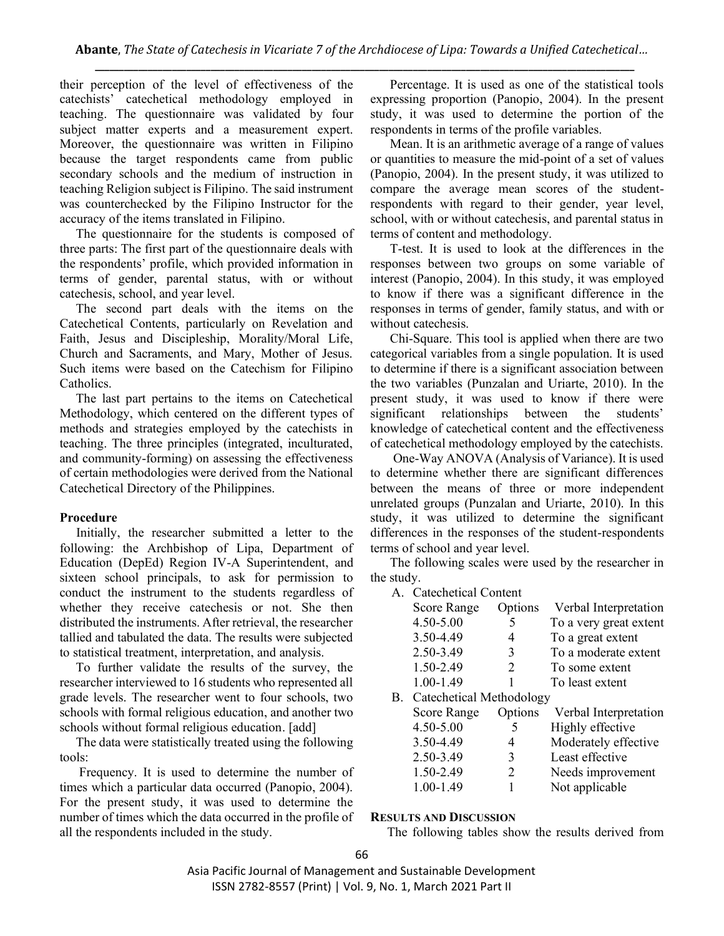their perception of the level of effectiveness of the catechists' catechetical methodology employed in teaching. The questionnaire was validated by four subject matter experts and a measurement expert. Moreover, the questionnaire was written in Filipino because the target respondents came from public secondary schools and the medium of instruction in teaching Religion subject is Filipino. The said instrument was counterchecked by the Filipino Instructor for the accuracy of the items translated in Filipino.

 The questionnaire for the students is composed of three parts: The first part of the questionnaire deals with the respondents' profile, which provided information in terms of gender, parental status, with or without catechesis, school, and year level.

 The second part deals with the items on the Catechetical Contents, particularly on Revelation and Faith, Jesus and Discipleship, Morality/Moral Life, Church and Sacraments, and Mary, Mother of Jesus. Such items were based on the Catechism for Filipino Catholics.

 The last part pertains to the items on Catechetical Methodology, which centered on the different types of methods and strategies employed by the catechists in teaching. The three principles (integrated, inculturated, and community-forming) on assessing the effectiveness of certain methodologies were derived from the National Catechetical Directory of the Philippines.

# **Procedure**

 Initially, the researcher submitted a letter to the following: the Archbishop of Lipa, Department of Education (DepEd) Region IV-A Superintendent, and sixteen school principals, to ask for permission to conduct the instrument to the students regardless of whether they receive catechesis or not. She then distributed the instruments. After retrieval, the researcher tallied and tabulated the data. The results were subjected to statistical treatment, interpretation, and analysis.

 To further validate the results of the survey, the researcher interviewed to 16 students who represented all grade levels. The researcher went to four schools, two schools with formal religious education, and another two schools without formal religious education. [add]

 The data were statistically treated using the following tools:

 Frequency. It is used to determine the number of times which a particular data occurred (Panopio, 2004). For the present study, it was used to determine the number of times which the data occurred in the profile of all the respondents included in the study.

 Percentage. It is used as one of the statistical tools expressing proportion (Panopio, 2004). In the present study, it was used to determine the portion of the respondents in terms of the profile variables.

 Mean. It is an arithmetic average of a range of values or quantities to measure the mid-point of a set of values (Panopio, 2004). In the present study, it was utilized to compare the average mean scores of the studentrespondents with regard to their gender, year level, school, with or without catechesis, and parental status in terms of content and methodology.

 T-test. It is used to look at the differences in the responses between two groups on some variable of interest (Panopio, 2004). In this study, it was employed to know if there was a significant difference in the responses in terms of gender, family status, and with or without catechesis.

 Chi-Square. This tool is applied when there are two categorical variables from a single population. It is used to determine if there is a significant association between the two variables (Punzalan and Uriarte, 2010). In the present study, it was used to know if there were significant relationships between the students' knowledge of catechetical content and the effectiveness of catechetical methodology employed by the catechists.

 One-Way ANOVA (Analysis of Variance). It is used to determine whether there are significant differences between the means of three or more independent unrelated groups (Punzalan and Uriarte, 2010). In this study, it was utilized to determine the significant differences in the responses of the student-respondents terms of school and year level.

 The following scales were used by the researcher in the study.

A. Catechetical Content

| Score Range                        | Options        | Verbal Interpretation  |
|------------------------------------|----------------|------------------------|
| 4.50-5.00                          | 5              | To a very great extent |
| 3.50-4.49                          | 4              | To a great extent      |
| 2.50-3.49                          | 3              | To a moderate extent   |
| 1.50-2.49                          | 2              | To some extent         |
| 1.00-1.49                          | 1              | To least extent        |
| <b>B.</b> Catechetical Methodology |                |                        |
| <b>Score Range</b>                 | Options        | Verbal Interpretation  |
| 4.50-5.00                          | 5              | Highly effective       |
| 3.50-4.49                          | 4              | Moderately effective   |
| 2.50-3.49                          | 3              | Least effective        |
| 1.50-2.49                          | $\mathfrak{L}$ | Needs improvement      |
| 1.00-1.49                          |                | Not applicable         |
|                                    |                |                        |

#### **RESULTS AND DISCUSSION**

The following tables show the results derived from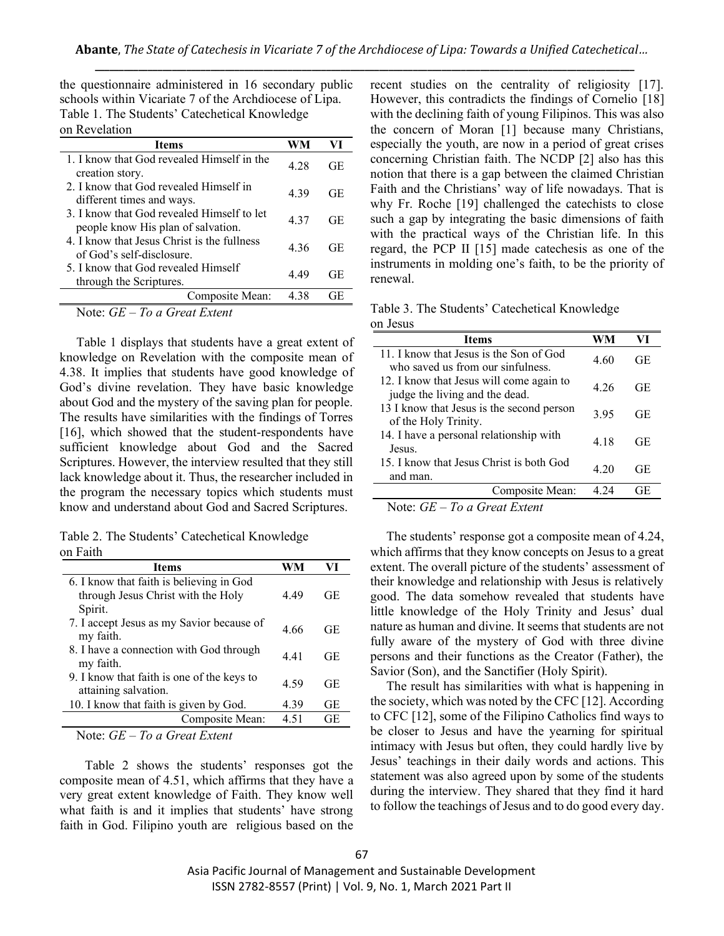the questionnaire administered in 16 secondary public schools within Vicariate 7 of the Archdiocese of Lipa. Table 1. The Students' Catechetical Knowledge on Revelation

| <b>Items</b>                                                                     | WM   | VI        |
|----------------------------------------------------------------------------------|------|-----------|
| 1. I know that God revealed Himself in the<br>creation story.                    | 4 28 | GЕ        |
| 2. I know that God revealed Himself in<br>different times and ways.              | 439  | <b>GE</b> |
| 3. I know that God revealed Himself to let<br>people know His plan of salvation. | 437  | <b>GE</b> |
| 4 I know that Jesus Christ is the fullness<br>of God's self-disclosure.          | 436  | GЕ        |
| 5. I know that God revealed Himself<br>through the Scriptures.                   | 4 49 | GE        |
| Composite Mean:                                                                  | 438  | GЕ        |
| Note: $GE - To$ a Great Extent                                                   |      |           |

Table 1 displays that students have a great extent of knowledge on Revelation with the composite mean of 4.38. It implies that students have good knowledge of God's divine revelation. They have basic knowledge about God and the mystery of the saving plan for people. The results have similarities with the findings of Torres [16], which showed that the student-respondents have sufficient knowledge about God and the Sacred Scriptures. However, the interview resulted that they still lack knowledge about it. Thus, the researcher included in the program the necessary topics which students must know and understand about God and Sacred Scriptures.

Table 2. The Students' Catechetical Knowledge on Faith

| <b>Items</b>                               |      |     |
|--------------------------------------------|------|-----|
| 6. I know that faith is believing in God   |      |     |
| through Jesus Christ with the Holy         | 449  | GE  |
| Spirit.                                    |      |     |
| 7. I accept Jesus as my Savior because of  | 4.66 | GE. |
| my faith.                                  |      |     |
| 8. I have a connection with God through    | 441  | GE. |
| my faith.                                  |      |     |
| 9. I know that faith is one of the keys to | 4.59 | GE  |
| attaining salvation.                       |      |     |
| 10. I know that faith is given by God.     | 4.39 | GЕ  |
| Composite Mean:                            | 4.51 | GE  |
|                                            |      |     |

Note: *GE – To a Great Extent*

Table 2 shows the students' responses got the composite mean of 4.51, which affirms that they have a very great extent knowledge of Faith. They know well what faith is and it implies that students' have strong faith in God. Filipino youth are religious based on the recent studies on the centrality of religiosity [17]. However, this contradicts the findings of Cornelio [18] with the declining faith of young Filipinos. This was also the concern of Moran [1] because many Christians, especially the youth, are now in a period of great crises concerning Christian faith. The NCDP [2] also has this notion that there is a gap between the claimed Christian Faith and the Christians' way of life nowadays. That is why Fr. Roche [19] challenged the catechists to close such a gap by integrating the basic dimensions of faith with the practical ways of the Christian life. In this regard, the PCP II [15] made catechesis as one of the instruments in molding one's faith, to be the priority of renewal.

|          | Table 3. The Students' Catechetical Knowledge |  |
|----------|-----------------------------------------------|--|
| on Jesus |                                               |  |

| <b>Items</b>                                                                 | WM   | VI        |
|------------------------------------------------------------------------------|------|-----------|
| 11. I know that Jesus is the Son of God<br>who saved us from our sinfulness. | 4.60 | GE        |
| 12. I know that Jesus will come again to<br>judge the living and the dead.   | 4 26 | GE        |
| 13 I know that Jesus is the second person<br>of the Holy Trinity.            | 395  | <b>GE</b> |
| 14. I have a personal relationship with<br>Jesus.                            | 4 18 | GE        |
| 15. I know that Jesus Christ is both God<br>and man.                         | 4 20 | GE        |
| Composite Mean:                                                              | 4 24 | GЕ        |

Note: *GE – To a Great Extent*

The students' response got a composite mean of 4.24, which affirms that they know concepts on Jesus to a great extent. The overall picture of the students' assessment of their knowledge and relationship with Jesus is relatively good. The data somehow revealed that students have little knowledge of the Holy Trinity and Jesus' dual nature as human and divine. It seems that students are not fully aware of the mystery of God with three divine persons and their functions as the Creator (Father), the Savior (Son), and the Sanctifier (Holy Spirit).

The result has similarities with what is happening in the society, which was noted by the CFC [12]. According to CFC [12], some of the Filipino Catholics find ways to be closer to Jesus and have the yearning for spiritual intimacy with Jesus but often, they could hardly live by Jesus' teachings in their daily words and actions. This statement was also agreed upon by some of the students during the interview. They shared that they find it hard to follow the teachings of Jesus and to do good every day.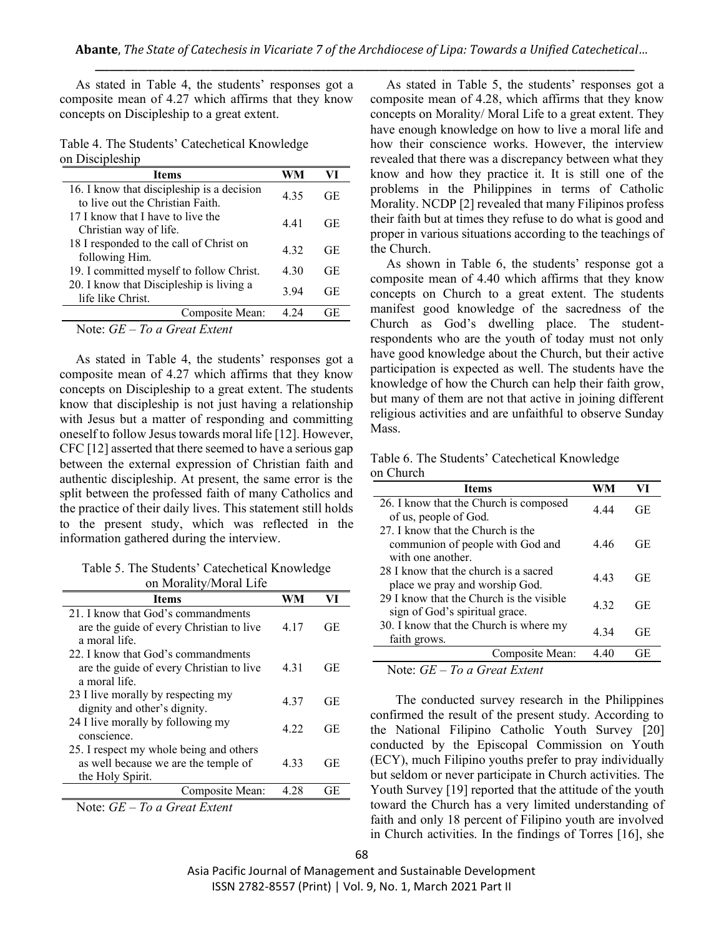As stated in Table 4, the students' responses got a composite mean of 4.27 which affirms that they know concepts on Discipleship to a great extent.

Table 4. The Students' Catechetical Knowledge on Discipleship

| <b>Items</b>                                                                    | WM    | VI        |
|---------------------------------------------------------------------------------|-------|-----------|
| 16. I know that discipleship is a decision<br>to live out the Christian Faith.  | 4 3 5 | GE        |
| 17 I know that I have to live the<br>Christian way of life.                     | 441   | GE        |
| 18 I responded to the call of Christ on<br>following Him.                       | 4.32  | GE        |
| 19. I committed myself to follow Christ.                                        | 4.30  | GЕ        |
| 20. I know that Discipleship is living a<br>life like Christ.                   | 394   | <b>GE</b> |
| Composite Mean:                                                                 | 4 24  | GE        |
| $T_{\rm eff}$ of $T_{\rm{meas}}$ $T_{\rm{meas}}$<br>$N_{\text{max}}$ $\alpha_E$ |       |           |

Note: *GE – To a Great Extent*

As stated in Table 4, the students' responses got a composite mean of 4.27 which affirms that they know concepts on Discipleship to a great extent. The students know that discipleship is not just having a relationship with Jesus but a matter of responding and committing oneself to follow Jesus towards moral life [12]. However, CFC [12] asserted that there seemed to have a serious gap between the external expression of Christian faith and authentic discipleship. At present, the same error is the split between the professed faith of many Catholics and the practice of their daily lives. This statement still holds to the present study, which was reflected in the information gathered during the interview.

Table 5. The Students' Catechetical Knowledge on Morality/Moral Life

| <b>Items</b>                                                      |      | VI |
|-------------------------------------------------------------------|------|----|
| 21. I know that God's commandments                                |      |    |
| are the guide of every Christian to live                          | 4.17 | GE |
| a moral life.                                                     |      |    |
| 22. I know that God's commandments                                |      |    |
| are the guide of every Christian to live                          | 4.31 | GE |
| a moral life                                                      |      |    |
| 23 I live morally by respecting my                                | 437  | GE |
| dignity and other's dignity.                                      |      |    |
| 24 I live morally by following my                                 | 4 22 | GE |
| conscience.                                                       |      |    |
| 25. I respect my whole being and others                           |      |    |
| as well because we are the temple of                              | 4.33 | GE |
| the Holy Spirit.                                                  |      |    |
| Composite Mean:                                                   | 4 28 | GE |
| $N_{\alpha\star\alpha}$ . $CE$<br>$T_{\alpha\alpha}$ Cusat Extent |      |    |

Note: *GE – To a Great Extent*

As stated in Table 5, the students' responses got a composite mean of 4.28, which affirms that they know concepts on Morality/ Moral Life to a great extent. They have enough knowledge on how to live a moral life and how their conscience works. However, the interview revealed that there was a discrepancy between what they know and how they practice it. It is still one of the problems in the Philippines in terms of Catholic Morality. NCDP [2] revealed that many Filipinos profess their faith but at times they refuse to do what is good and proper in various situations according to the teachings of the Church.

As shown in Table 6, the students' response got a composite mean of 4.40 which affirms that they know concepts on Church to a great extent. The students manifest good knowledge of the sacredness of the Church as God's dwelling place. The studentrespondents who are the youth of today must not only have good knowledge about the Church, but their active participation is expected as well. The students have the knowledge of how the Church can help their faith grow, but many of them are not that active in joining different religious activities and are unfaithful to observe Sunday Mass.

Table 6. The Students' Catechetical Knowledge on Church

| <b>Items</b>                                                                              | WM   | VI  |
|-------------------------------------------------------------------------------------------|------|-----|
| 26. I know that the Church is composed<br>of us, people of God.                           | 4.44 | GE  |
| 27. I know that the Church is the<br>communion of people with God and<br>with one another | 446  | GE. |
| 28 I know that the church is a sacred<br>place we pray and worship God.                   | 443  | GE  |
| 29 I know that the Church is the visible<br>sign of God's spiritual grace.                | 4 32 | GE  |
| 30. I know that the Church is where my<br>faith grows.                                    | 4 34 | GE  |
| Composite Mean:                                                                           | 4.40 | GE  |

Note: *GE – To a Great Extent*

The conducted survey research in the Philippines confirmed the result of the present study. According to the National Filipino Catholic Youth Survey [20] conducted by the Episcopal Commission on Youth (ECY), much Filipino youths prefer to pray individually but seldom or never participate in Church activities. The Youth Survey [19] reported that the attitude of the youth toward the Church has a very limited understanding of faith and only 18 percent of Filipino youth are involved in Church activities. In the findings of Torres [16], she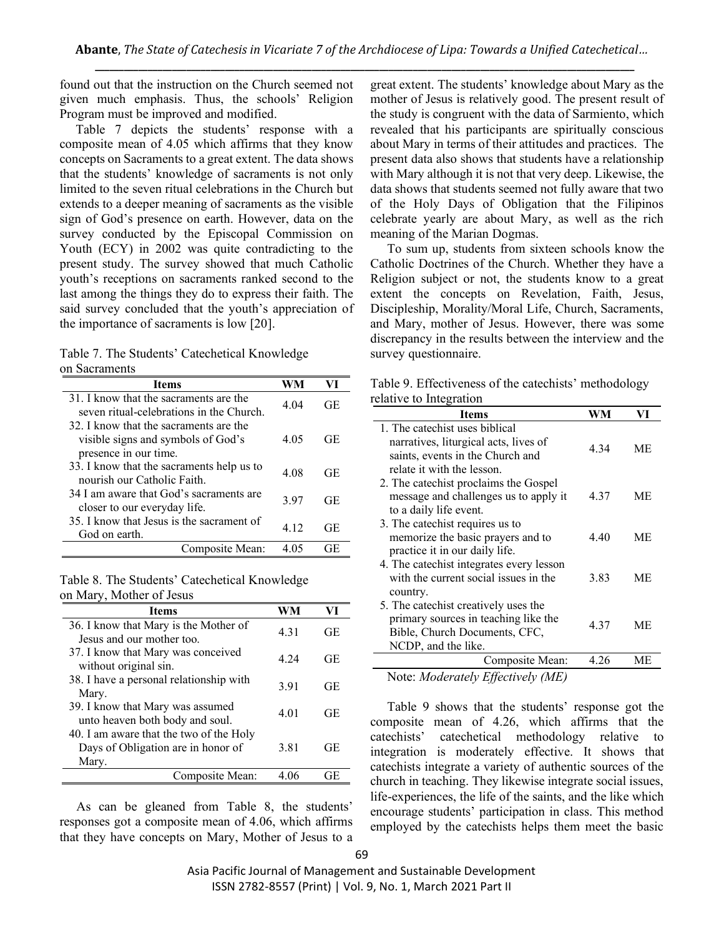found out that the instruction on the Church seemed not given much emphasis. Thus, the schools' Religion Program must be improved and modified.

Table 7 depicts the students' response with a composite mean of 4.05 which affirms that they know concepts on Sacraments to a great extent. The data shows that the students' knowledge of sacraments is not only limited to the seven ritual celebrations in the Church but extends to a deeper meaning of sacraments as the visible sign of God's presence on earth. However, data on the survey conducted by the Episcopal Commission on Youth (ECY) in 2002 was quite contradicting to the present study. The survey showed that much Catholic youth's receptions on sacraments ranked second to the last among the things they do to express their faith. The said survey concluded that the youth's appreciation of the importance of sacraments is low [20].

Table 7. The Students' Catechetical Knowledge on Sacraments

| Items                                     |      |     |
|-------------------------------------------|------|-----|
| 31. I know that the sacraments are the    | 4.04 | GE  |
| seven ritual-celebrations in the Church.  |      |     |
| 32 I know that the sacraments are the     |      |     |
| visible signs and symbols of God's        | 4 05 | GE. |
| presence in our time.                     |      |     |
| 33. I know that the sacraments help us to | 4 08 | GE. |
| nourish our Catholic Faith.               |      |     |
| 34 I am aware that God's sacraments are   | 397  | GE. |
| closer to our everyday life.              |      |     |
| 35. I know that Jesus is the sacrament of | 4.12 | GE  |
| God on earth.                             |      |     |
| Composite Mean:                           | 4.05 | GE  |

| Table 8. The Students' Catechetical Knowledge |  |
|-----------------------------------------------|--|
| on Mary, Mother of Jesus                      |  |

| <b>Items</b>                                                                           | WM    | VI |
|----------------------------------------------------------------------------------------|-------|----|
| 36. I know that Mary is the Mother of<br>Jesus and our mother too.                     | 4.31  | GE |
| 37. I know that Mary was conceived<br>without original sin.                            | 4 2 4 | GE |
| 38. I have a personal relationship with<br>Mary.                                       | 3.91  | GE |
| 39. I know that Mary was assumed<br>unto heaven both body and soul.                    | 4.01  | GE |
| 40. I am aware that the two of the Holy<br>Days of Obligation are in honor of<br>Mary. | 3.81  | GE |
| Composite Mean:                                                                        |       |    |

As can be gleaned from Table 8, the students' responses got a composite mean of 4.06, which affirms that they have concepts on Mary, Mother of Jesus to a

great extent. The students' knowledge about Mary as the mother of Jesus is relatively good. The present result of the study is congruent with the data of Sarmiento, which revealed that his participants are spiritually conscious about Mary in terms of their attitudes and practices. The present data also shows that students have a relationship with Mary although it is not that very deep. Likewise, the data shows that students seemed not fully aware that two of the Holy Days of Obligation that the Filipinos celebrate yearly are about Mary, as well as the rich meaning of the Marian Dogmas.

To sum up, students from sixteen schools know the Catholic Doctrines of the Church. Whether they have a Religion subject or not, the students know to a great extent the concepts on Revelation, Faith, Jesus, Discipleship, Morality/Moral Life, Church, Sacraments, and Mary, mother of Jesus. However, there was some discrepancy in the results between the interview and the survey questionnaire.

| Table 9. Effectiveness of the catechists' methodology |  |
|-------------------------------------------------------|--|
| relative to Integration                               |  |

| $\mathbf{v}$ muscom                                                                                                                       |      |    |
|-------------------------------------------------------------------------------------------------------------------------------------------|------|----|
| Items                                                                                                                                     | WM   | VI |
| 1. The catechist uses biblical<br>narratives, liturgical acts, lives of<br>saints, events in the Church and<br>relate it with the lesson. | 4.34 | МE |
| 2. The catechist proclaims the Gospel<br>message and challenges us to apply it<br>to a daily life event.                                  | 4.37 | МE |
| 3. The catechist requires us to<br>memorize the basic prayers and to<br>practice it in our daily life.                                    | 4.40 | МE |
| 4. The catechist integrates every lesson<br>with the current social issues in the<br>country.                                             | 3.83 | МE |
| 5. The cate chist creatively uses the<br>primary sources in teaching like the<br>Bible, Church Documents, CFC,<br>NCDP, and the like.     | 4.37 | МE |
| Composite Mean:                                                                                                                           | 4.26 | МE |
| Note: Moderately Effectively (ME)                                                                                                         |      |    |

Table 9 shows that the students' response got the composite mean of 4.26, which affirms that the catechists' catechetical methodology relative to integration is moderately effective. It shows that catechists integrate a variety of authentic sources of the church in teaching. They likewise integrate social issues, life-experiences, the life of the saints, and the like which encourage students' participation in class. This method employed by the catechists helps them meet the basic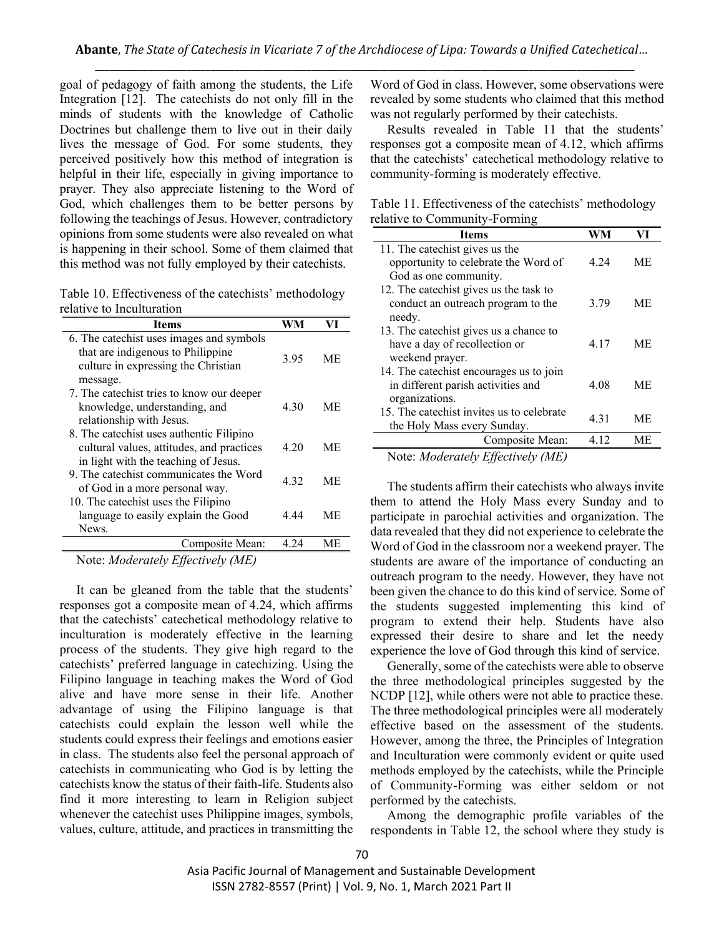goal of pedagogy of faith among the students, the Life Integration [12]. The catechists do not only fill in the minds of students with the knowledge of Catholic Doctrines but challenge them to live out in their daily lives the message of God. For some students, they perceived positively how this method of integration is helpful in their life, especially in giving importance to prayer. They also appreciate listening to the Word of God, which challenges them to be better persons by following the teachings of Jesus. However, contradictory opinions from some students were also revealed on what is happening in their school. Some of them claimed that this method was not fully employed by their catechists.

Table 10. Effectiveness of the catechists' methodology relative to Inculturation

| Items                                                                                                                            | WM   | VI        |
|----------------------------------------------------------------------------------------------------------------------------------|------|-----------|
| 6. The catechist uses images and symbols<br>that are indigenous to Philippine<br>culture in expressing the Christian<br>message. | 3.95 | МE        |
| 7. The cate chist tries to know our deeper<br>knowledge, understanding, and<br>relationship with Jesus.                          | 4 30 | МE        |
| 8. The catechist uses authentic Filipino<br>cultural values, attitudes, and practices<br>in light with the teaching of Jesus.    | 4 20 | МE        |
| 9. The catechist communicates the Word<br>of God in a more personal way.<br>10. The catechist uses the Filipino                  | 4.32 | МE        |
| language to easily explain the Good<br>News.                                                                                     | 4.44 | МE        |
| Composite Mean:                                                                                                                  | 4 24 | <b>ME</b> |
| $\mathbf{M}$ if $\mathbf{I}$ if $\mathbf{H}$ if $\mathbf{M}$ if $\mathbf{M}$                                                     |      |           |

Note: *Moderately Effectively (ME)*

It can be gleaned from the table that the students' responses got a composite mean of 4.24, which affirms that the catechists' catechetical methodology relative to inculturation is moderately effective in the learning process of the students. They give high regard to the catechists' preferred language in catechizing. Using the Filipino language in teaching makes the Word of God alive and have more sense in their life. Another advantage of using the Filipino language is that catechists could explain the lesson well while the students could express their feelings and emotions easier in class. The students also feel the personal approach of catechists in communicating who God is by letting the catechists know the status of their faith-life. Students also find it more interesting to learn in Religion subject whenever the catechist uses Philippine images, symbols, values, culture, attitude, and practices in transmitting the

Word of God in class. However, some observations were revealed by some students who claimed that this method was not regularly performed by their catechists.

Results revealed in Table 11 that the students' responses got a composite mean of 4.12, which affirms that the catechists' catechetical methodology relative to community-forming is moderately effective.

Table 11. Effectiveness of the catechists' methodology relative to Community-Forming

| <b>Items</b>                              |      |           |
|-------------------------------------------|------|-----------|
| 11. The cate chist gives us the           |      |           |
| opportunity to celebrate the Word of      | 4 24 | МE        |
| God as one community.                     |      |           |
| 12. The catechist gives us the task to    |      |           |
| conduct an outreach program to the        | 3.79 | МE        |
| needy.                                    |      |           |
| 13. The catechist gives us a chance to    |      |           |
| have a day of recollection or             | 4.17 | ME.       |
| weekend prayer.                           |      |           |
| 14. The catechist encourages us to join   |      |           |
| in different parish activities and        | 4.08 | <b>ME</b> |
| organizations.                            |      |           |
| 15. The catechist invites us to celebrate | 431  | <b>ME</b> |
| the Holy Mass every Sunday.               |      |           |
| Composite Mean:                           | 4.12 | МE        |

Note: *Moderately Effectively (ME)*

The students affirm their catechists who always invite them to attend the Holy Mass every Sunday and to participate in parochial activities and organization. The data revealed that they did not experience to celebrate the Word of God in the classroom nor a weekend prayer. The students are aware of the importance of conducting an outreach program to the needy. However, they have not been given the chance to do this kind of service. Some of the students suggested implementing this kind of program to extend their help. Students have also expressed their desire to share and let the needy experience the love of God through this kind of service.

Generally, some of the catechists were able to observe the three methodological principles suggested by the NCDP [12], while others were not able to practice these. The three methodological principles were all moderately effective based on the assessment of the students. However, among the three, the Principles of Integration and Inculturation were commonly evident or quite used methods employed by the catechists, while the Principle of Community-Forming was either seldom or not performed by the catechists.

Among the demographic profile variables of the respondents in Table 12, the school where they study is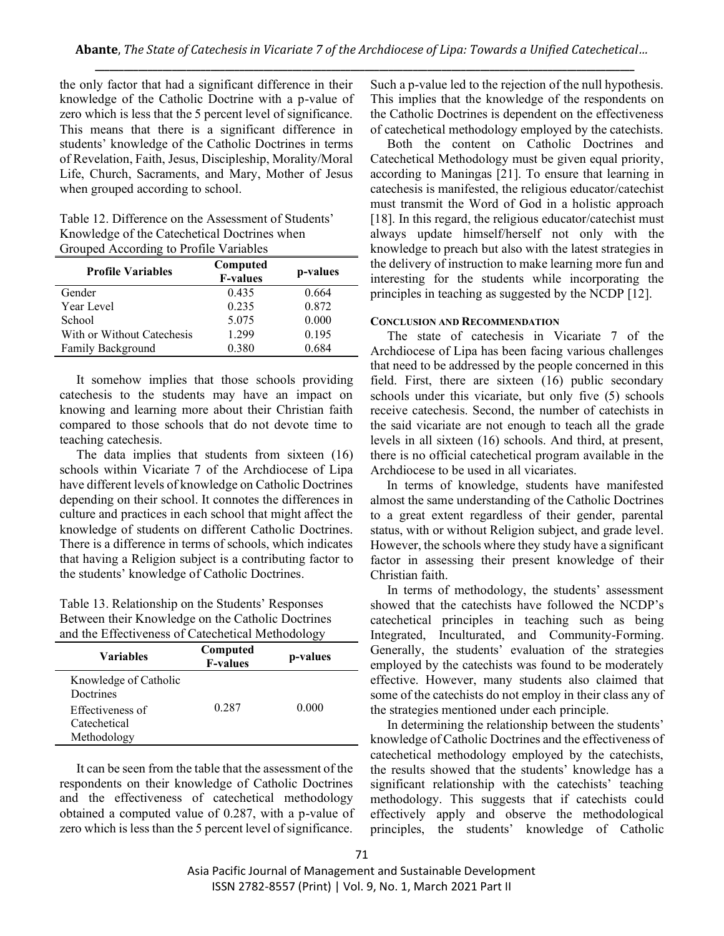the only factor that had a significant difference in their knowledge of the Catholic Doctrine with a p-value of zero which is less that the 5 percent level of significance. This means that there is a significant difference in students' knowledge of the Catholic Doctrines in terms of Revelation, Faith, Jesus, Discipleship, Morality/Moral Life, Church, Sacraments, and Mary, Mother of Jesus when grouped according to school.

Table 12. Difference on the Assessment of Students' Knowledge of the Catechetical Doctrines when Grouped According to Profile Variables

| <b>Profile Variables</b>   | Computed<br><b>F-values</b> | p-values |
|----------------------------|-----------------------------|----------|
| Gender                     | 0.435                       | 0.664    |
| Year Level                 | 0.235                       | 0.872    |
| School                     | 5.075                       | 0.000    |
| With or Without Catechesis | 1.299                       | 0.195    |
| Family Background          | 0.380                       | 0 684    |

It somehow implies that those schools providing catechesis to the students may have an impact on knowing and learning more about their Christian faith compared to those schools that do not devote time to teaching catechesis.

The data implies that students from sixteen (16) schools within Vicariate 7 of the Archdiocese of Lipa have different levels of knowledge on Catholic Doctrines depending on their school. It connotes the differences in culture and practices in each school that might affect the knowledge of students on different Catholic Doctrines. There is a difference in terms of schools, which indicates that having a Religion subject is a contributing factor to the students' knowledge of Catholic Doctrines.

Table 13. Relationship on the Students' Responses Between their Knowledge on the Catholic Doctrines and the Effectiveness of Catechetical Methodology

| <b>Variables</b>                   | Computed<br><b>F-values</b> | p-values |
|------------------------------------|-----------------------------|----------|
| Knowledge of Catholic<br>Doctrines |                             |          |
| Effectiveness of<br>Catechetical   | 0.287                       | 0.000    |
| Methodology                        |                             |          |

It can be seen from the table that the assessment of the respondents on their knowledge of Catholic Doctrines and the effectiveness of catechetical methodology obtained a computed value of 0.287, with a p-value of zero which is less than the 5 percent level of significance.

Such a p-value led to the rejection of the null hypothesis. This implies that the knowledge of the respondents on the Catholic Doctrines is dependent on the effectiveness of catechetical methodology employed by the catechists.

Both the content on Catholic Doctrines and Catechetical Methodology must be given equal priority, according to Maningas [21]. To ensure that learning in catechesis is manifested, the religious educator/catechist must transmit the Word of God in a holistic approach [18]. In this regard, the religious educator/cate chist must always update himself/herself not only with the knowledge to preach but also with the latest strategies in the delivery of instruction to make learning more fun and interesting for the students while incorporating the principles in teaching as suggested by the NCDP [12].

#### **CONCLUSION AND RECOMMENDATION**

The state of catechesis in Vicariate 7 of the Archdiocese of Lipa has been facing various challenges that need to be addressed by the people concerned in this field. First, there are sixteen (16) public secondary schools under this vicariate, but only five (5) schools receive catechesis. Second, the number of catechists in the said vicariate are not enough to teach all the grade levels in all sixteen (16) schools. And third, at present, there is no official catechetical program available in the Archdiocese to be used in all vicariates.

 In terms of knowledge, students have manifested almost the same understanding of the Catholic Doctrines to a great extent regardless of their gender, parental status, with or without Religion subject, and grade level. However, the schools where they study have a significant factor in assessing their present knowledge of their Christian faith.

In terms of methodology, the students' assessment showed that the catechists have followed the NCDP's catechetical principles in teaching such as being Integrated, Inculturated, and Community-Forming. Generally, the students' evaluation of the strategies employed by the catechists was found to be moderately effective. However, many students also claimed that some of the catechists do not employ in their class any of the strategies mentioned under each principle.

In determining the relationship between the students' knowledge of Catholic Doctrines and the effectiveness of catechetical methodology employed by the catechists, the results showed that the students' knowledge has a significant relationship with the catechists' teaching methodology. This suggests that if catechists could effectively apply and observe the methodological principles, the students' knowledge of Catholic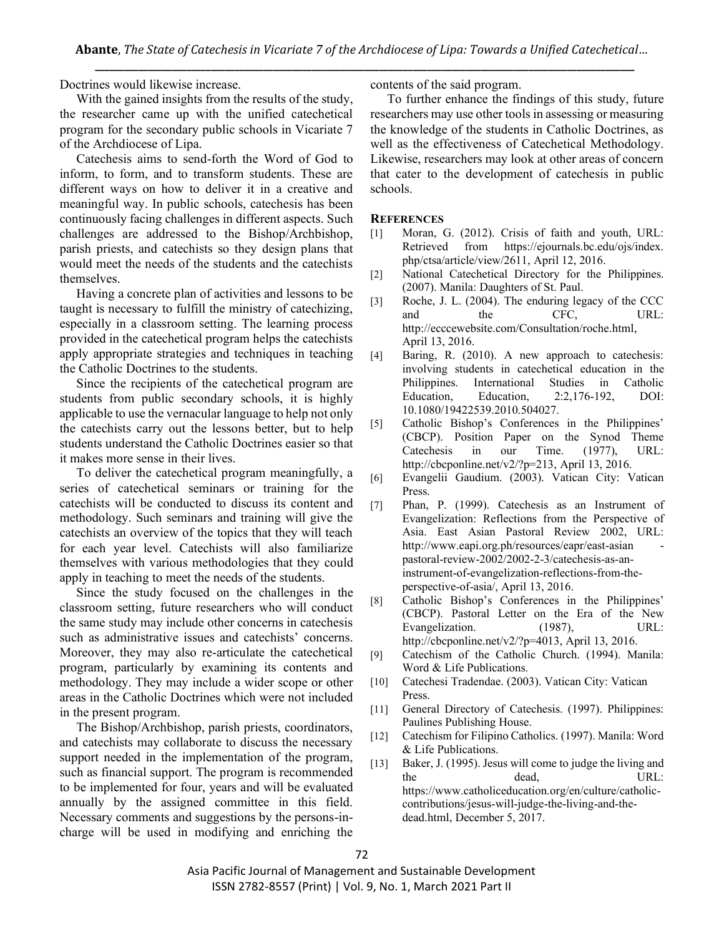Doctrines would likewise increase.

With the gained insights from the results of the study, the researcher came up with the unified catechetical program for the secondary public schools in Vicariate 7 of the Archdiocese of Lipa.

Catechesis aims to send-forth the Word of God to inform, to form, and to transform students. These are different ways on how to deliver it in a creative and meaningful way. In public schools, catechesis has been continuously facing challenges in different aspects. Such challenges are addressed to the Bishop/Archbishop, parish priests, and catechists so they design plans that would meet the needs of the students and the catechists themselves.

Having a concrete plan of activities and lessons to be taught is necessary to fulfill the ministry of catechizing, especially in a classroom setting. The learning process provided in the catechetical program helps the catechists apply appropriate strategies and techniques in teaching the Catholic Doctrines to the students.

Since the recipients of the catechetical program are students from public secondary schools, it is highly applicable to use the vernacular language to help not only the catechists carry out the lessons better, but to help students understand the Catholic Doctrines easier so that it makes more sense in their lives.

To deliver the catechetical program meaningfully, a series of catechetical seminars or training for the catechists will be conducted to discuss its content and methodology. Such seminars and training will give the catechists an overview of the topics that they will teach for each year level. Catechists will also familiarize themselves with various methodologies that they could apply in teaching to meet the needs of the students.

Since the study focused on the challenges in the classroom setting, future researchers who will conduct the same study may include other concerns in catechesis such as administrative issues and catechists' concerns. Moreover, they may also re-articulate the catechetical program, particularly by examining its contents and methodology. They may include a wider scope or other areas in the Catholic Doctrines which were not included in the present program.

The Bishop/Archbishop, parish priests, coordinators, and catechists may collaborate to discuss the necessary support needed in the implementation of the program, such as financial support. The program is recommended to be implemented for four, years and will be evaluated annually by the assigned committee in this field. Necessary comments and suggestions by the persons-incharge will be used in modifying and enriching the contents of the said program.

To further enhance the findings of this study, future researchers may use other tools in assessing or measuring the knowledge of the students in Catholic Doctrines, as well as the effectiveness of Catechetical Methodology. Likewise, researchers may look at other areas of concern that cater to the development of catechesis in public schools.

#### **REFERENCES**

- [1] Moran, G. (2012). Crisis of faith and youth, URL: Retrieved from https://ejournals.bc.edu/ojs/index. php/ctsa/article/view/2611, April 12, 2016.
- [2] National Catechetical Directory for the Philippines. (2007). Manila: Daughters of St. Paul.
- [3] Roche, J. L. (2004). The enduring legacy of the CCC and the CFC, URL: http://ecccewebsite.com/Consultation/roche.html, April 13, 2016.
- [4] Baring, R. (2010). A new approach to catechesis: involving students in catechetical education in the Philippines. International Studies in Catholic Education, Education, 2:2,176-192, DOI: 10.1080/19422539.2010.504027.
- [5] Catholic Bishop's Conferences in the Philippines' (CBCP). Position Paper on the Synod Theme Catechesis in our Time. (1977), URL: http://cbcponline.net/v2/?p=213, April 13, 2016.
- [6] Evangelii Gaudium. (2003). Vatican City: Vatican Press.
- [7] Phan, P. (1999). Catechesis as an Instrument of Evangelization: Reflections from the Perspective of Asia. East Asian Pastoral Review 2002, URL: http://www.eapi.org.ph/resources/eapr/east-asian pastoral-review-2002/2002-2-3/catechesis-as-aninstrument-of-evangelization-reflections-from-theperspective-of-asia/, April 13, 2016.
- [8] Catholic Bishop's Conferences in the Philippines' (CBCP). Pastoral Letter on the Era of the New Evangelization. (1987). URL: http://cbcponline.net/v2/?p=4013, April 13, 2016.
- [9] Catechism of the Catholic Church. (1994). Manila: Word & Life Publications.
- [10] Catechesi Tradendae. (2003). Vatican City: Vatican Press.
- [11] General Directory of Catechesis. (1997). Philippines: Paulines Publishing House.
- [12] Catechism for Filipino Catholics. (1997). Manila: Word & Life Publications.
- [13] Baker, J. (1995). Jesus will come to judge the living and the dead, URL: https://www.catholiceducation.org/en/culture/catholiccontributions/jesus-will-judge-the-living-and-thedead.html, December 5, 2017.